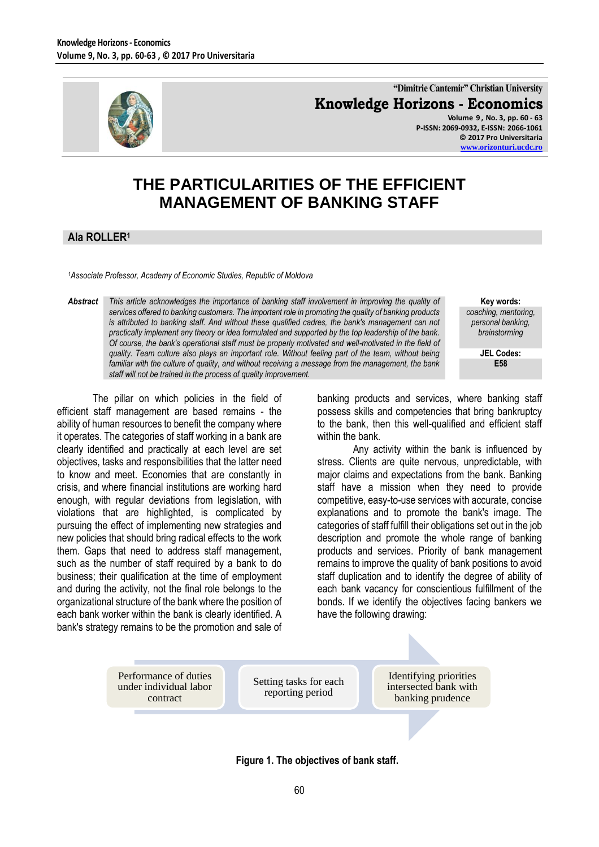

**"Dimitrie Cantemir" Christian University Knowledge Horizons - Economics Volume 9 , No. 3, pp. 60 - 63**

**P-ISSN: 2069-0932, E-ISSN: 2066-1061 © 2017 Pro Universitaria [www.orizonturi.ucdc.ro](http://www.orizonturi.ucdc.ro/)**

## **THE PARTICULARITIES OF THE EFFICIENT MANAGEMENT OF BANKING STAFF**

## **Ala ROLLER<sup>1</sup>**

*<sup>1</sup>Associate Professor, Academy of Economic Studies, Republic of Moldova*

*Abstract This article acknowledges the importance of banking staff involvement in improving the quality of services offered to banking customers. The important role in promoting the quality of banking products is attributed to banking staff. And without these qualified cadres, the bank's management can not practically implement any theory or idea formulated and supported by the top leadership of the bank. Of course, the bank's operational staff must be properly motivated and well-motivated in the field of quality. Team culture also plays an important role. Without feeling part of the team, without being familiar with the culture of quality, and without receiving a message from the management, the bank staff will not be trained in the process of quality improvement.*

The pillar on which policies in the field of efficient staff management are based remains - the ability of human resources to benefit the company where it operates. The categories of staff working in a bank are clearly identified and practically at each level are set objectives, tasks and responsibilities that the latter need to know and meet. Economies that are constantly in crisis, and where financial institutions are working hard enough, with regular deviations from legislation, with violations that are highlighted, is complicated by pursuing the effect of implementing new strategies and new policies that should bring radical effects to the work them. Gaps that need to address staff management, such as the number of staff required by a bank to do business; their qualification at the time of employment and during the activity, not the final role belongs to the organizational structure of the bank where the position of each bank worker within the bank is clearly identified. A bank's strategy remains to be the promotion and sale of

**Key words:** *coaching, mentoring, personal banking, brainstorming*

**JEL Codes: E58**

banking products and services, where banking staff possess skills and competencies that bring bankruptcy to the bank, then this well-qualified and efficient staff within the bank.

Any activity within the bank is influenced by stress. Clients are quite nervous, unpredictable, with major claims and expectations from the bank. Banking staff have a mission when they need to provide competitive, easy-to-use services with accurate, concise explanations and to promote the bank's image. The categories of staff fulfill their obligations set out in the job description and promote the whole range of banking products and services. Priority of bank management remains to improve the quality of bank positions to avoid staff duplication and to identify the degree of ability of each bank vacancy for conscientious fulfillment of the bonds. If we identify the objectives facing bankers we have the following drawing:

Performance of duties under individual labor contract Setting tasks for each reporting period Identifying priorities intersected bank with banking prudence

**Figure 1. The objectives of bank staff.**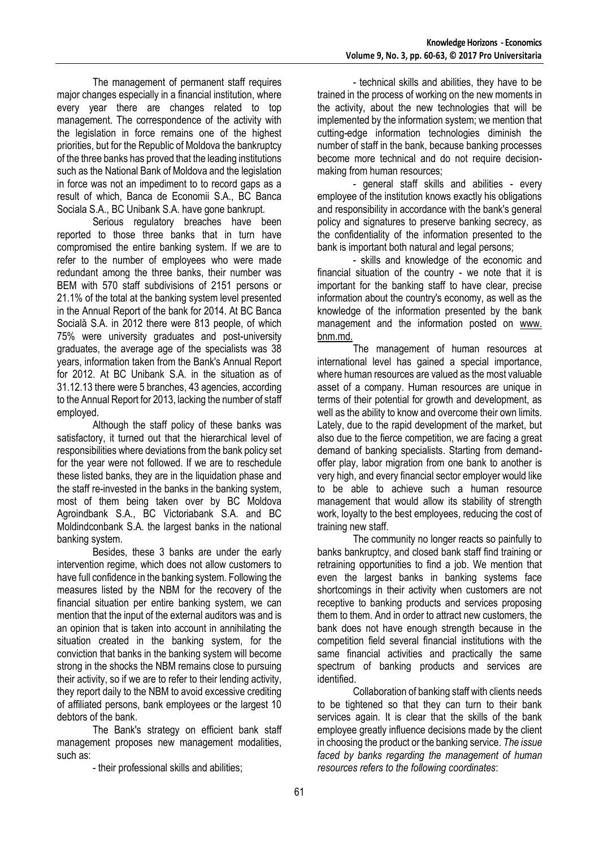The management of permanent staff requires major changes especially in a financial institution, where every year there are changes related to top management. The correspondence of the activity with the legislation in force remains one of the highest priorities, but for the Republic of Moldova the bankruptcy of the three banks has proved that the leading institutions such as the National Bank of Moldova and the legislation in force was not an impediment to to record gaps as a result of which, Banca de Economii S.A., BC Banca Sociala S.A., BC Unibank S.A. have gone bankrupt.

Serious regulatory breaches have been reported to those three banks that in turn have compromised the entire banking system. If we are to refer to the number of employees who were made redundant among the three banks, their number was BEM with 570 staff subdivisions of 2151 persons or 21.1% of the total at the banking system level presented in the Annual Report of the bank for 2014. At BC Banca Socială S.A. in 2012 there were 813 people, of which 75% were university graduates and post-university graduates, the average age of the specialists was 38 years, information taken from the Bank's Annual Report for 2012. At BC Unibank S.A. in the situation as of 31.12.13 there were 5 branches, 43 agencies, according to the Annual Report for 2013, lacking the number of staff employed.

Although the staff policy of these banks was satisfactory, it turned out that the hierarchical level of responsibilities where deviations from the bank policy set for the year were not followed. If we are to reschedule these listed banks, they are in the liquidation phase and the staff re-invested in the banks in the banking system, most of them being taken over by BC Moldova Agroindbank S.A., BC Victoriabank S.A. and BC Moldindconbank S.A. the largest banks in the national banking system.

Besides, these 3 banks are under the early intervention regime, which does not allow customers to have full confidence in the banking system. Following the measures listed by the NBM for the recovery of the financial situation per entire banking system, we can mention that the input of the external auditors was and is an opinion that is taken into account in annihilating the situation created in the banking system, for the conviction that banks in the banking system will become strong in the shocks the NBM remains close to pursuing their activity, so if we are to refer to their lending activity, they report daily to the NBM to avoid excessive crediting of affiliated persons, bank employees or the largest 10 debtors of the bank.

The Bank's strategy on efficient bank staff management proposes new management modalities, such as:

- their professional skills and abilities;

- technical skills and abilities, they have to be trained in the process of working on the new moments in the activity, about the new technologies that will be implemented by the information system; we mention that cutting-edge information technologies diminish the number of staff in the bank, because banking processes become more technical and do not require decisionmaking from human resources;

- general staff skills and abilities - every employee of the institution knows exactly his obligations and responsibility in accordance with the bank's general policy and signatures to preserve banking secrecy, as the confidentiality of the information presented to the bank is important both natural and legal persons;

- skills and knowledge of the economic and financial situation of the country - we note that it is important for the banking staff to have clear, precise information about the country's economy, as well as the knowledge of the information presented by the bank management and the information posted on www. bnm.md.

The management of human resources at international level has gained a special importance, where human resources are valued as the most valuable asset of a company. Human resources are unique in terms of their potential for growth and development, as well as the ability to know and overcome their own limits. Lately, due to the rapid development of the market, but also due to the fierce competition, we are facing a great demand of banking specialists. Starting from demandoffer play, labor migration from one bank to another is very high, and every financial sector employer would like to be able to achieve such a human resource management that would allow its stability of strength work, loyalty to the best employees, reducing the cost of training new staff.

The community no longer reacts so painfully to banks bankruptcy, and closed bank staff find training or retraining opportunities to find a job. We mention that even the largest banks in banking systems face shortcomings in their activity when customers are not receptive to banking products and services proposing them to them. And in order to attract new customers, the bank does not have enough strength because in the competition field several financial institutions with the same financial activities and practically the same spectrum of banking products and services are identified.

Collaboration of banking staff with clients needs to be tightened so that they can turn to their bank services again. It is clear that the skills of the bank employee greatly influence decisions made by the client in choosing the product or the banking service. *The issue faced by banks regarding the management of human resources refers to the following coordinates*: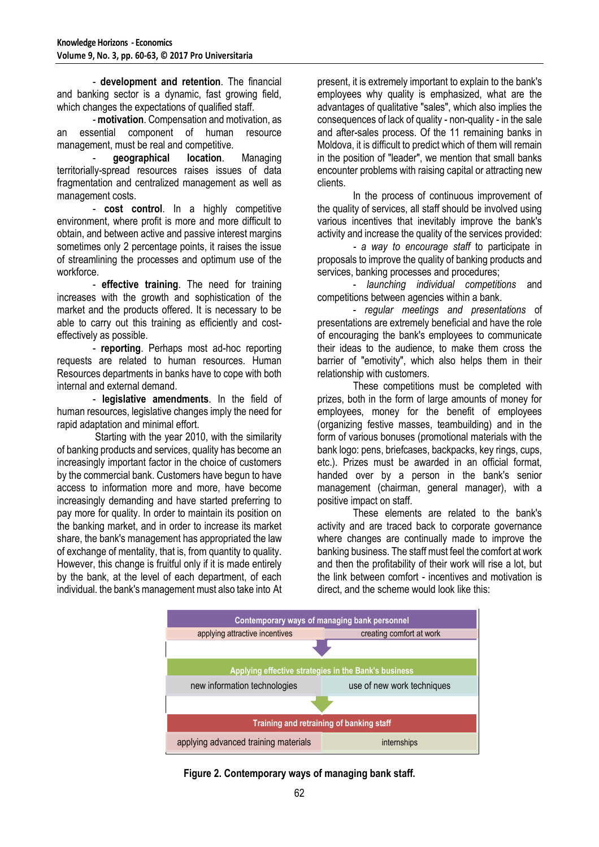- **development and retention**. The financial and banking sector is a dynamic, fast growing field, which changes the expectations of qualified staff.

- **motivation**. Compensation and motivation, as an essential component of human resource management, must be real and competitive.

- **geographical location**. Managing territorially-spread resources raises issues of data fragmentation and centralized management as well as management costs.

- **cost control**. In a highly competitive environment, where profit is more and more difficult to obtain, and between active and passive interest margins sometimes only 2 percentage points, it raises the issue of streamlining the processes and optimum use of the workforce.

- **effective training**. The need for training increases with the growth and sophistication of the market and the products offered. It is necessary to be able to carry out this training as efficiently and costeffectively as possible.

- **reporting**. Perhaps most ad-hoc reporting requests are related to human resources. Human Resources departments in banks have to cope with both internal and external demand.

- **legislative amendments**. In the field of human resources, legislative changes imply the need for rapid adaptation and minimal effort.

Starting with the year 2010, with the similarity of banking products and services, quality has become an increasingly important factor in the choice of customers by the commercial bank. Customers have begun to have access to information more and more, have become increasingly demanding and have started preferring to pay more for quality. In order to maintain its position on the banking market, and in order to increase its market share, the bank's management has appropriated the law of exchange of mentality, that is, from quantity to quality. However, this change is fruitful only if it is made entirely by the bank, at the level of each department, of each individual. the bank's management must also take into At present, it is extremely important to explain to the bank's employees why quality is emphasized, what are the advantages of qualitative "sales", which also implies the consequences of lack of quality - non-quality - in the sale and after-sales process. Of the 11 remaining banks in Moldova, it is difficult to predict which of them will remain in the position of "leader", we mention that small banks encounter problems with raising capital or attracting new clients.

In the process of continuous improvement of the quality of services, all staff should be involved using various incentives that inevitably improve the bank's activity and increase the quality of the services provided:

*- a way to encourage staff* to participate in proposals to improve the quality of banking products and services, banking processes and procedures;

- *launching individual competitions* and competitions between agencies within a bank.

- *regular meetings and presentations* of presentations are extremely beneficial and have the role of encouraging the bank's employees to communicate their ideas to the audience, to make them cross the barrier of "emotivity", which also helps them in their relationship with customers.

These competitions must be completed with prizes, both in the form of large amounts of money for employees, money for the benefit of employees (organizing festive masses, teambuilding) and in the form of various bonuses (promotional materials with the bank logo: pens, briefcases, backpacks, key rings, cups, etc.). Prizes must be awarded in an official format, handed over by a person in the bank's senior management (chairman, general manager), with a positive impact on staff.

These elements are related to the bank's activity and are traced back to corporate governance where changes are continually made to improve the banking business. The staff must feel the comfort at work and then the profitability of their work will rise a lot, but the link between comfort - incentives and motivation is direct, and the scheme would look like this:



**Figure 2. Contemporary ways of managing bank staff.**